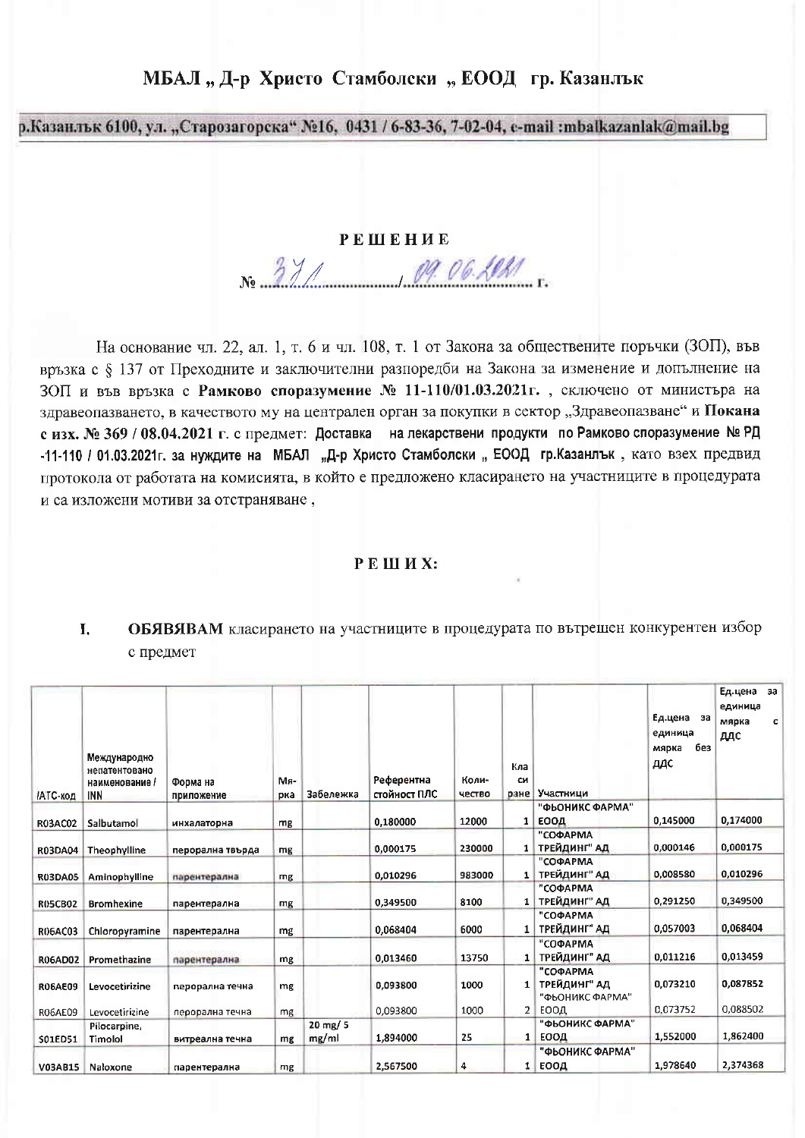# МБАЛ "Д-р Христо Стамболски "ЕООД гр. Казанлък

р.Казанлык 6100, ул. "Старозагорска" №16, 0431 / 6-83-36, 7-02-04, e-mail :mbalkazanlak@mail.bg

### **РЕШЕНИЕ**

No 371 09.06.2020

На основание чл. 22, ал. 1, т. 6 и чл. 108, т. 1 от Закона за обществените поръчки (ЗОП), във връзка с § 137 от Преходните и заключителни разпоредби на Закона за изменение и допълнение на ЗОП и във връзка с Рамково споразумение № 11-110/01.03.2021 г., сключено от министъра на здравеопазването, в качеството му на централен орган за покупки в сектор "Здравеопазване" и Покана с изх. № 369 / 08.04.2021 г. с предмет: Доставка на лекарствени продукти по Рамково споразумение № РД -11-110 / 01.03.2021г. за нуждите на МБАЛ "Д-р Христо Стамболски "ЕООД гр.Казанлък, като взех предвид протокола от работата на комисията, в който е предложено класирането на участниците в процедурата и са изложени мотиви за отстраняване,

#### РЕШИХ:

#### ОБЯВЯВАМ класирането на участниците в процедурата по вътрешен конкурентен избор Ι. с предмет

| <b>/АТС-код</b> | Международно<br>непатентовано<br>наименование /<br><b>INN</b> | Форма на<br>приложение | Мя-<br>рка | Забележка                      | Референтна<br>стойност ПЛС | Коли-<br>чество | Кла<br>CИ<br>ране | Участници                                   | Ед.цена за<br>единица<br>без<br>мярка<br>ддс | Ед.цена за<br>единица<br>мярка<br>c<br>ддс |
|-----------------|---------------------------------------------------------------|------------------------|------------|--------------------------------|----------------------------|-----------------|-------------------|---------------------------------------------|----------------------------------------------|--------------------------------------------|
| <b>R03AC02</b>  | Salbutamol                                                    | инхалаторна            | mg         |                                | 0.180000                   | 12000           | $\mathbf{1}$      | "ФЬОНИКС ФАРМА"<br>ЕООД                     | 0,145000                                     | 0,174000                                   |
| <b>R03DA04</b>  | Theophylline                                                  | перорална твърда       | mg         |                                | 0,000175                   | 230000          |                   | "СОФАРМА<br>1 ТРЕЙДИНГ" АД                  | 0,000146                                     | 0,000175                                   |
| <b>R03DA05</b>  | Aminophylline                                                 | парентерална           | mg         |                                | 0,010296                   | 983000          | 1                 | "СОФАРМА<br>ТРЕЙДИНГ" АД                    | 0,008580                                     | 0,010296                                   |
| <b>R05CB02</b>  | <b>Bromhexine</b>                                             | парентерална           | mg         |                                | 0,349500                   | 8100            | 1                 | "СОФАРМА<br>ТРЕЙДИНГ" АД                    | 0,291250                                     | 0,349500                                   |
| R06AC03         | Chloropyramine                                                | парентерална           | mg         |                                | 0.068404                   | 6000            |                   | "СОФАРМА<br>ТРЕЙДИНГ" АД                    | 0,057003                                     | 0,068404                                   |
| R06AD02         | Promethazine                                                  | парентерална           | mg         |                                | 0.013460                   | 13750           | 1 <sup>1</sup>    | "СОФАРМА<br>ТРЕЙДИНГ" АД                    | 0,011216                                     | 0.013459                                   |
| <b>RO6AE09</b>  | Levocetirizine                                                | перорална течна        | mg         |                                | 0.093800                   | 1000            | 1                 | "СОФАРМА<br>ТРЕЙДИНГ" АД<br>"ФЬОНИКС ФАРМА" | 0,073210                                     | 0,087852                                   |
| <b>RO6AE09</b>  | Levocetirizine                                                | перорална течна        | mg         |                                | 0.093800                   | 1000            | 2 <sup>1</sup>    | <b>EOOA</b>                                 | 0.073752                                     | 0,088502                                   |
| S01ED51         | Pilocarpine,<br>Timolol                                       | витреална течна        | mg         | $20 \, \text{mg} / 5$<br>mg/ml | 1,894000                   | 25              | 1.                | "ФЬОНИКС ФАРМА"<br><b>EOOA</b>              | 1,552000                                     | 1,862400                                   |
| <b>V03AB15</b>  | Naloxone                                                      | парентерална           | mg         |                                | 2,567500                   | 4               | 1.                | "ФЬОНИКС ФАРМА"<br>ЕООД                     | 1,978640                                     | 2,374368                                   |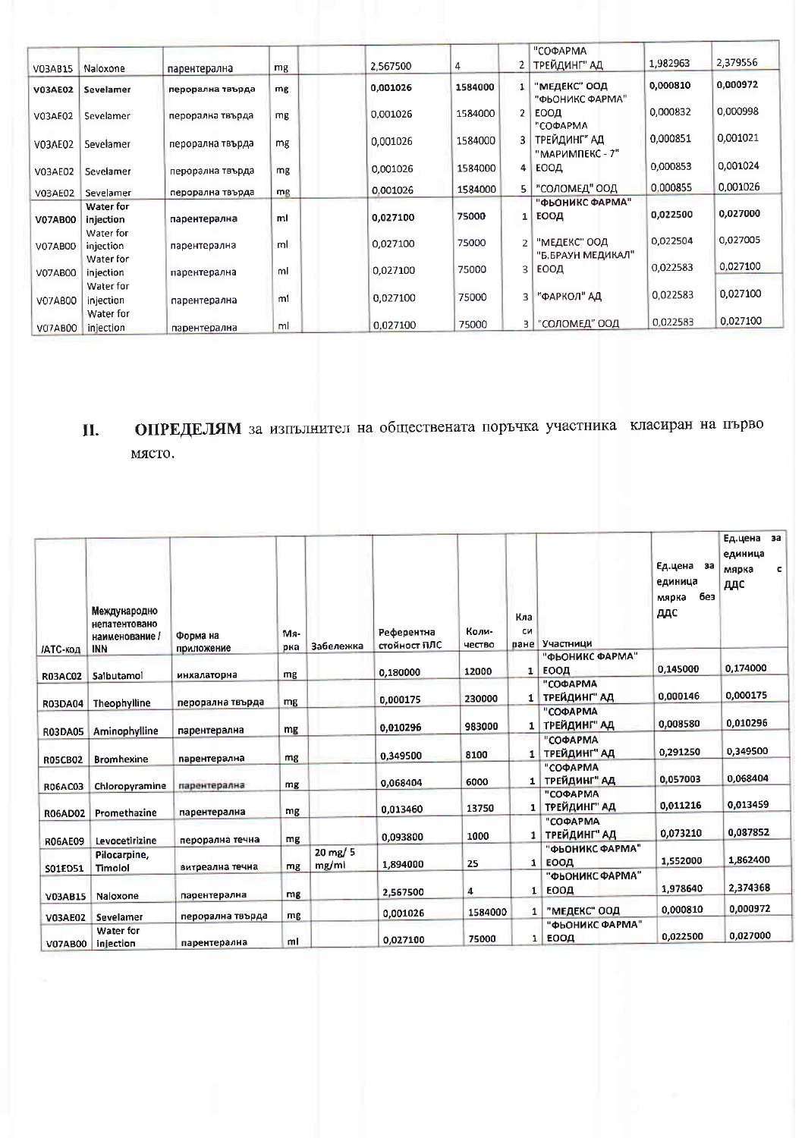| V03AB15        | Naloxone               | парентерална     | mg | 2,567500 | 4       | 2              | "СОФАРМА<br>ТРЕЙДИНГ" АД          | 1,982963 | 2,379556 |
|----------------|------------------------|------------------|----|----------|---------|----------------|-----------------------------------|----------|----------|
| <b>V03AE02</b> | Sevelamer              | перорална твърда | mg | 0,001026 | 1584000 | $\mathbf{1}$   | "МЕДЕКС" ООД<br>"ФЬОНИКС ФАРМА"   | 0,000810 | 0,000972 |
| V03AE02        | Sevelamer              | перорална твърда | mg | 0,001026 | 1584000 |                | ЕООД<br>"СОФАРМА                  | 0,000832 | 0,000998 |
| V03AE02        | Sevelamer              | перорална твърда | mg | 0,001026 | 1584000 |                | ТРЕЙДИНГ" АД<br>"МАРИМПЕКС - 7"   | 0.000851 | 0,001021 |
| V03AE02        | Sevelamer              | перорална твърда | mg | 0.001026 | 1584000 | 4 <sup>1</sup> | <b>EOOA</b>                       | 0,000853 | 0,001024 |
| V03AE02        | Sevelamer              | перорална твърда | mg | 0,001026 | 1584000 | 51             | "СОЛОМЕД" ООД                     | 0.000855 | 0.001026 |
| V07AB00        | Water for<br>injection | парентерална     | ml | 0,027100 | 75000   | $1\vert$       | "ФЬОНИКС ФАРМА"<br>ЕООД           | 0,022500 | 0,027000 |
| V07AB00        | Water for<br>injection | парентерална     | ml | 0,027100 | 75000   |                | "МЕДЕКС" ООД<br>"Б,БРАУН МЕДИКАЛ" | 0,022504 | 0,027005 |
| <b>V07AB00</b> | Water for<br>injection | парентерална     | ml | 0.027100 | 75000   | 3              | ЕООД                              | 0.022583 | 0,027100 |
| <b>V07AB00</b> | Water for<br>injection | парентерална     | ml | 0,027100 | 75000   | 3              | "ФАРКОЛ" АД                       | 0,022583 | 0,027100 |
| <b>V07AB00</b> | Water for<br>injection | парентерална     | ml | 0.027100 | 75000   | З.             | "СОЛОМЕД" ООД                     | 0.022583 | 0.027100 |

## ОПРЕДЕЛЯМ за изпълнител на обществената поръчка участника класиран на първо II. място.

| <b>/АТС-код</b>           | Международно<br>непатентовано<br>наименование /<br><b>INN</b> | Форма на<br>приложение           | Mя-<br>рка | Забележка                      | Референтна<br>стойност ПЛС | Коли-<br>чество | Кла<br>CИ<br>ране | Участници                  | Ед.цена за<br>единица<br>без<br>мярка<br>ддо | Ед.цена<br>3a<br>единица<br>мярка<br>c<br>ддс |
|---------------------------|---------------------------------------------------------------|----------------------------------|------------|--------------------------------|----------------------------|-----------------|-------------------|----------------------------|----------------------------------------------|-----------------------------------------------|
|                           | Salbutamol                                                    |                                  | mg         |                                | 0,180000                   | 12000           | 1                 | "ФЬОНИКС ФАРМА"<br>ЕООД    | 0,145000                                     | 0,174000                                      |
| <b>R03AC02</b>            |                                                               | инхалаторна<br>перорална твърда  | mg         |                                | 0,000175                   | 230000          | 1 <sup>1</sup>    | "СОФАРМА<br>ТРЕЙДИНГ" АД   | 0,000146                                     | 0,000175                                      |
| <b>R03DA04</b>            | Theophylline                                                  |                                  | mg         |                                | 0,010296                   | 983000          | 1                 | "СОФАРМА<br>ТРЕЙДИНГ" АД   | 0,008580                                     | 0,010296                                      |
| <b>R03DA05</b>            | Aminophylline                                                 | парентерална                     | mg         |                                | 0,349500                   | 8100            | 1                 | "СОФАРМА<br>ТРЕЙДИНГ" АД   | 0,291250                                     | 0,349500                                      |
| <b>R05CB02</b>            | <b>Bromhexine</b>                                             | парентерална                     | mg         |                                | 0,068404                   | 6000            |                   | "СОФАРМА<br>1 ТРЕЙДИНГ" АД | 0,057003                                     | 0,068404                                      |
| <b>R06AC03</b>            | Chloropyramine                                                | парентерална                     | mg         |                                | 0.013460                   | 13750           | 1                 | "СОФАРМА<br>ТРЕЙДИНГ" АД   | 0,011216                                     | 0.013459                                      |
| <b>R06AD02</b>            | Promethazine                                                  | парентерална                     | mg         |                                | 0,093800                   | 1000            | $\mathbf{1}$      | "СОФАРМА<br>ТРЕЙДИНГ" АД   | 0,073210                                     | 0,087852                                      |
| <b>R06AE09</b>            | Levocetirizine<br>Pilocarpine,                                | перорална течна                  |            | $20 \, \text{mg} / 5$<br>mg/mi | 1,894000                   | 25              | $\mathbf{1}$      | "ФЬОНИКС ФАРМА"<br>ЕООД    | 1,552000                                     | 1,862400                                      |
| S01ED51                   | Timolol                                                       | витреална течна                  | mg         |                                | 2,567500                   | 4               | $\mathbf{1}$      | "ФЬОНИКС ФАРМА"<br>ЕООД    | 1,978640                                     | 2,374368                                      |
| V03AB15<br><b>V03AE02</b> | Naloxone<br>Sevelamer                                         | парентерална<br>перорална твърда | mg<br>mg   |                                | 0,001026                   | 1584000         | 1                 | "МЕДЕКС" ООД               | 0,000810                                     | 0,000972                                      |
| <b>V07AB00</b>            | Water for<br>injection                                        | парентерална                     | ml         |                                | 0.027100                   | 75000           | 1                 | "ФЬОНИКС ФАРМА"<br>ЕООД    | 0,022500                                     | 0.027000                                      |